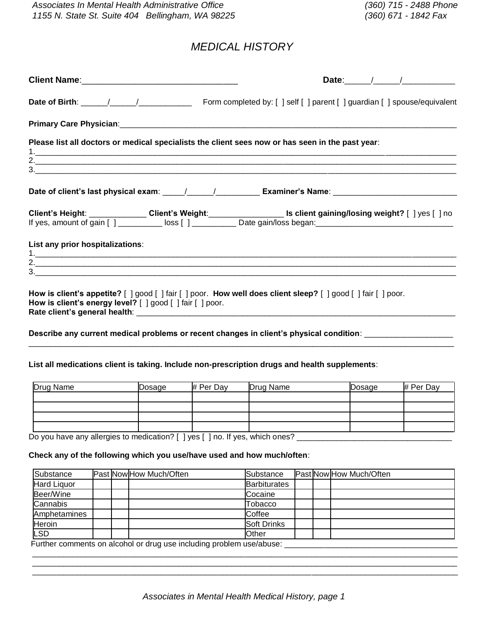# *MEDICAL HISTORY*

|                                                           | Please list all doctors or medical specialists the client sees now or has seen in the past year:                                                                                                               |
|-----------------------------------------------------------|----------------------------------------------------------------------------------------------------------------------------------------------------------------------------------------------------------------|
|                                                           | Date of client's last physical exam: ____/_____/_____________ Examiner's Name: _______________________________                                                                                                 |
|                                                           | Client's Height: Client Client's Weight: Client Client gaining/losing weight? [ ] yes [ ] no<br>If yes, amount of gain [ ] __________ loss [ ] ____________ Date gain/loss began: ____________________________ |
| List any prior hospitalizations:                          |                                                                                                                                                                                                                |
| How is client's energy level? [ ] good [ ] fair [ ] poor. | How is client's appetite? [ ] good [ ] fair [ ] poor. How well does client sleep? [ ] good [ ] fair [ ] poor.                                                                                                  |
|                                                           | Describe any current medical problems or recent changes in client's physical condition: __________________                                                                                                     |

## **List all medications client is taking. Include non-prescription drugs and health supplements**:

| Drug Name | Dosage | # Per Day | Drug Name | Dosage | # Per Day |
|-----------|--------|-----------|-----------|--------|-----------|
|           |        |           |           |        |           |
|           |        |           |           |        |           |
|           |        |           |           |        |           |
|           |        |           |           |        |           |

Do you have any allergies to medication? [ ] yes [ ] no. If yes, which ones? \_\_\_\_\_\_\_\_\_\_\_\_\_\_\_\_\_\_\_\_\_\_\_\_\_\_\_\_\_\_\_\_\_

#### **Check any of the following which you use/have used and how much/often**:

| Substance    | Past Now How Much/Often | Substance           |  | Past Now How Much/Often |
|--------------|-------------------------|---------------------|--|-------------------------|
| Hard Liquor  |                         | <b>Barbiturates</b> |  |                         |
| Beer/Wine    |                         | Cocaine             |  |                         |
| Cannabis     |                         | Tobacco             |  |                         |
| Amphetamines |                         | Coffee              |  |                         |
| Heroin       |                         | <b>Soft Drinks</b>  |  |                         |
| <b>LSD</b>   |                         | Other               |  |                         |

Further comments on alcohol or drug use including problem use/abuse: \_\_\_\_\_\_\_\_\_\_\_\_\_\_\_\_\_\_\_\_\_\_\_\_\_\_\_\_\_\_\_\_\_\_\_\_\_\_\_

\_\_\_\_\_\_\_\_\_\_\_\_\_\_\_\_\_\_\_\_\_\_\_\_\_\_\_\_\_\_\_\_\_\_\_\_\_\_\_\_\_\_\_\_\_\_\_\_\_\_\_\_\_\_\_\_\_\_\_\_\_\_\_\_\_\_\_\_\_\_\_\_\_\_\_\_\_\_\_\_\_\_\_\_\_\_\_\_\_\_\_\_\_\_\_\_ \_\_\_\_\_\_\_\_\_\_\_\_\_\_\_\_\_\_\_\_\_\_\_\_\_\_\_\_\_\_\_\_\_\_\_\_\_\_\_\_\_\_\_\_\_\_\_\_\_\_\_\_\_\_\_\_\_\_\_\_\_\_\_\_\_\_\_\_\_\_\_\_\_\_\_\_\_\_\_\_\_\_\_\_\_\_\_\_\_\_\_\_\_\_\_\_